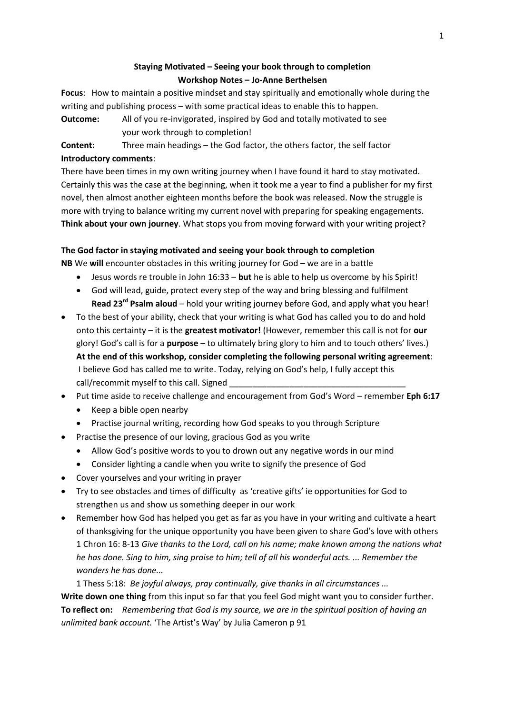# **Staying Motivated – Seeing your book through to completion Workshop Notes – Jo-Anne Berthelsen**

**Focus**: How to maintain a positive mindset and stay spiritually and emotionally whole during the writing and publishing process – with some practical ideas to enable this to happen. **Outcome:** All of you re-invigorated, inspired by God and totally motivated to see

your work through to completion!

**Content:** Three main headings – the God factor, the others factor, the self factor **Introductory comments**:

There have been times in my own writing journey when I have found it hard to stay motivated. Certainly this was the case at the beginning, when it took me a year to find a publisher for my first novel, then almost another eighteen months before the book was released. Now the struggle is more with trying to balance writing my current novel with preparing for speaking engagements. **Think about your own journey**. What stops you from moving forward with your writing project?

## **The God factor in staying motivated and seeing your book through to completion**

**NB** We **will** encounter obstacles in this writing journey for God – we are in a battle

- Jesus words re trouble in John 16:33 **but** he is able to help us overcome by his Spirit!
- God will lead, guide, protect every step of the way and bring blessing and fulfilment **Read 23rd Psalm aloud** – hold your writing journey before God, and apply what you hear!
- To the best of your ability, check that your writing is what God has called you to do and hold onto this certainty – it is the **greatest motivator!** (However, remember this call is not for **our**  glory! God's call is for a **purpose** – to ultimately bring glory to him and to touch others' lives.) **At the end of this workshop, consider completing the following personal writing agreement**: I believe God has called me to write. Today, relying on God's help, I fully accept this call/recommit myself to this call. Signed
- Put time aside to receive challenge and encouragement from God's Word remember **Eph 6:17**
	- Keep a bible open nearby
	- Practise journal writing, recording how God speaks to you through Scripture
- Practise the presence of our loving, gracious God as you write
	- Allow God's positive words to you to drown out any negative words in our mind
	- Consider lighting a candle when you write to signify the presence of God
- Cover yourselves and your writing in prayer
- Try to see obstacles and times of difficulty as 'creative gifts' ie opportunities for God to strengthen us and show us something deeper in our work
- Remember how God has helped you get as far as you have in your writing and cultivate a heart of thanksgiving for the unique opportunity you have been given to share God's love with others 1 Chron 16: 8-13 *Give thanks to the Lord, call on his name; make known among the nations what he has done. Sing to him, sing praise to him; tell of all his wonderful acts. ... Remember the wonders he has done...*

1 Thess 5:18: *Be joyful always, pray continually, give thanks in all circumstances ...* **Write down one thing** from this input so far that you feel God might want you to consider further. **To reflect on:** *Remembering that God is my source, we are in the spiritual position of having an unlimited bank account.* 'The Artist's Way' by Julia Cameron p 91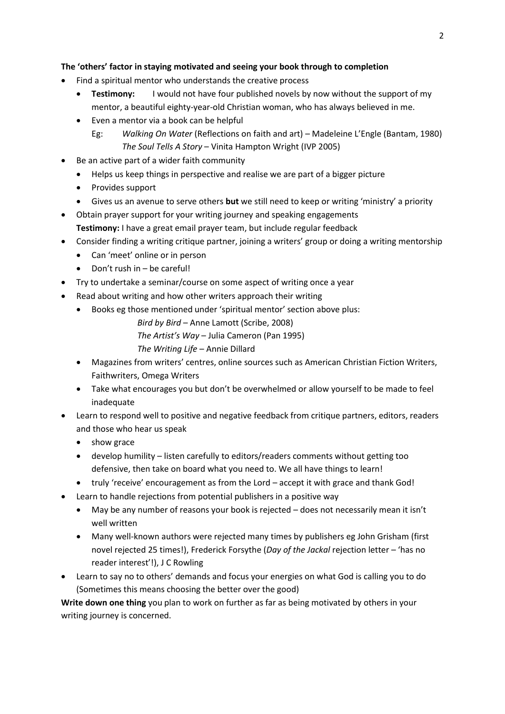### **The 'others' factor in staying motivated and seeing your book through to completion**

- Find a spiritual mentor who understands the creative process
	- **Testimony:** I would not have four published novels by now without the support of my mentor, a beautiful eighty-year-old Christian woman, who has always believed in me.
	- Even a mentor via a book can be helpful
		- Eg: *Walking On Water* (Reflections on faith and art) Madeleine L'Engle (Bantam, 1980) *The Soul Tells A Story* – Vinita Hampton Wright (IVP 2005)
- Be an active part of a wider faith community
	- Helps us keep things in perspective and realise we are part of a bigger picture
	- Provides support
	- Gives us an avenue to serve others **but** we still need to keep or writing 'ministry' a priority
- Obtain prayer support for your writing journey and speaking engagements **Testimony:** I have a great email prayer team, but include regular feedback
- Consider finding a writing critique partner, joining a writers' group or doing a writing mentorship
	- Can 'meet' online or in person
	- $\bullet$  Don't rush in be careful!
- Try to undertake a seminar/course on some aspect of writing once a year
- Read about writing and how other writers approach their writing
	- Books eg those mentioned under 'spiritual mentor' section above plus:

*Bird by Bird* – Anne Lamott (Scribe, 2008)

- *The Artist's Way* Julia Cameron (Pan 1995)
- *The Writing Life*  Annie Dillard
- Magazines from writers' centres, online sources such as American Christian Fiction Writers, Faithwriters, Omega Writers
- Take what encourages you but don't be overwhelmed or allow yourself to be made to feel inadequate
- Learn to respond well to positive and negative feedback from critique partners, editors, readers and those who hear us speak
	- show grace
	- develop humility listen carefully to editors/readers comments without getting too defensive, then take on board what you need to. We all have things to learn!
	- truly 'receive' encouragement as from the Lord accept it with grace and thank God!
- Learn to handle rejections from potential publishers in a positive way
	- May be any number of reasons your book is rejected does not necessarily mean it isn't well written
	- Many well-known authors were rejected many times by publishers eg John Grisham (first novel rejected 25 times!), Frederick Forsythe (*Day of the Jackal* rejection letter – 'has no reader interest'!), J C Rowling
- Learn to say no to others' demands and focus your energies on what God is calling you to do (Sometimes this means choosing the better over the good)

**Write down one thing** you plan to work on further as far as being motivated by others in your writing journey is concerned.